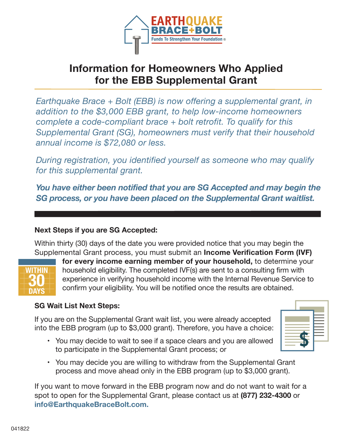

# **Information for Homeowners Who Applied for the EBB Supplemental Grant**

*Earthquake Brace + Bolt (EBB) is now offering a supplemental grant, in addition to the \$3,000 EBB grant, to help low-income homeowners complete a code-compliant brace + bolt retrofit. To qualify for this Supplemental Grant (SG), homeowners must verify that their household annual income is \$72,080 or less.*

*During registration, you identified yourself as someone who may qualify for this supplemental grant.* 

*You have either been notified that you are SG Accepted and may begin the SG process, or you have been placed on the Supplemental Grant waitlist.*

#### **Next Steps if you are SG Accepted:**

Within thirty (30) days of the date you were provided notice that you may begin the Supplemental Grant process, you must submit an **Income Verification Form (IVF)** 



 **for every income earning member of your household,** to determine your household eligibility. The completed IVF(s) are sent to a consulting firm with experience in verifying household income with the Internal Revenue Service to confirm your eligibility. You will be notified once the results are obtained.

#### **SG Wait List Next Steps:**

If you are on the Supplemental Grant wait list, you were already accepted into the EBB program (up to \$3,000 grant). Therefore, you have a choice:

- You may decide to wait to see if a space clears and you are allowed to participate in the Supplemental Grant process; or
- You may decide you are willing to withdraw from the Supplemental Grant process and move ahead only in the EBB program (up to \$3,000 grant).

If you want to move forward in the EBB program now and do not want to wait for a spot to open for the Supplemental Grant, please contact us at **(877) 232-4300** or **info@EarthquakeBraceBolt.com.**